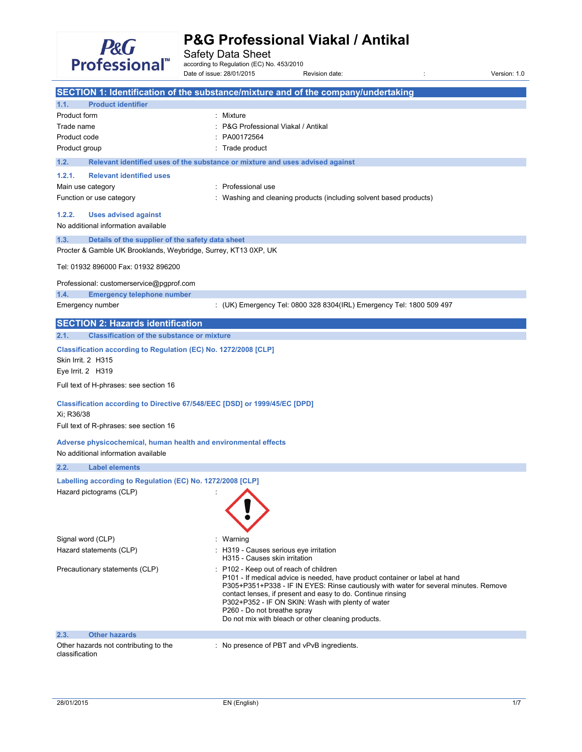

Safety Data Sheet<br>according to Regulation (EC) No. 453/2010

Date of issue: 28/01/2015 Revision date: : Version: 1.0

|                                                                                                            | SECTION 1: Identification of the substance/mixture and of the company/undertaking                                                                                                                                                                                                                                                                                                                                      |
|------------------------------------------------------------------------------------------------------------|------------------------------------------------------------------------------------------------------------------------------------------------------------------------------------------------------------------------------------------------------------------------------------------------------------------------------------------------------------------------------------------------------------------------|
| <b>Product identifier</b><br>1.1.                                                                          |                                                                                                                                                                                                                                                                                                                                                                                                                        |
| Product form                                                                                               | : Mixture                                                                                                                                                                                                                                                                                                                                                                                                              |
| Trade name                                                                                                 | P&G Professional Viakal / Antikal                                                                                                                                                                                                                                                                                                                                                                                      |
| Product code                                                                                               | PA00172564                                                                                                                                                                                                                                                                                                                                                                                                             |
| Product group                                                                                              | : Trade product                                                                                                                                                                                                                                                                                                                                                                                                        |
| 1.2.                                                                                                       | Relevant identified uses of the substance or mixture and uses advised against                                                                                                                                                                                                                                                                                                                                          |
| 1.2.1.<br><b>Relevant identified uses</b>                                                                  |                                                                                                                                                                                                                                                                                                                                                                                                                        |
| Main use category                                                                                          | : Professional use                                                                                                                                                                                                                                                                                                                                                                                                     |
| Function or use category                                                                                   | Washing and cleaning products (including solvent based products)                                                                                                                                                                                                                                                                                                                                                       |
| 1.2.2.<br><b>Uses advised against</b><br>No additional information available                               |                                                                                                                                                                                                                                                                                                                                                                                                                        |
| Details of the supplier of the safety data sheet<br>1.3.                                                   |                                                                                                                                                                                                                                                                                                                                                                                                                        |
| Procter & Gamble UK Brooklands, Weybridge, Surrey, KT13 0XP, UK                                            |                                                                                                                                                                                                                                                                                                                                                                                                                        |
| Tel: 01932 896000 Fax: 01932 896200                                                                        |                                                                                                                                                                                                                                                                                                                                                                                                                        |
| Professional: customerservice@pgprof.com                                                                   |                                                                                                                                                                                                                                                                                                                                                                                                                        |
| <b>Emergency telephone number</b><br>1.4.                                                                  |                                                                                                                                                                                                                                                                                                                                                                                                                        |
| Emergency number                                                                                           | : (UK) Emergency Tel: 0800 328 8304(IRL) Emergency Tel: 1800 509 497                                                                                                                                                                                                                                                                                                                                                   |
| <b>SECTION 2: Hazards identification</b>                                                                   |                                                                                                                                                                                                                                                                                                                                                                                                                        |
| <b>Classification of the substance or mixture</b><br>2.1.                                                  |                                                                                                                                                                                                                                                                                                                                                                                                                        |
| Classification according to Regulation (EC) No. 1272/2008 [CLP]<br>Skin Irrit. 2 H315<br>Eye Irrit. 2 H319 |                                                                                                                                                                                                                                                                                                                                                                                                                        |
| Full text of H-phrases: see section 16                                                                     |                                                                                                                                                                                                                                                                                                                                                                                                                        |
| Classification according to Directive 67/548/EEC [DSD] or 1999/45/EC [DPD]<br>Xi; R36/38                   |                                                                                                                                                                                                                                                                                                                                                                                                                        |
| Full text of R-phrases: see section 16                                                                     |                                                                                                                                                                                                                                                                                                                                                                                                                        |
| Adverse physicochemical, human health and environmental effects<br>No additional information available     |                                                                                                                                                                                                                                                                                                                                                                                                                        |
| 2.2.<br><b>Label elements</b>                                                                              |                                                                                                                                                                                                                                                                                                                                                                                                                        |
| Labelling according to Regulation (EC) No. 1272/2008 [CLP]                                                 |                                                                                                                                                                                                                                                                                                                                                                                                                        |
| Hazard pictograms (CLP)                                                                                    |                                                                                                                                                                                                                                                                                                                                                                                                                        |
| Signal word (CLP)                                                                                          | : Warning                                                                                                                                                                                                                                                                                                                                                                                                              |
| Hazard statements (CLP)                                                                                    | : H319 - Causes serious eye irritation<br>H315 - Causes skin irritation                                                                                                                                                                                                                                                                                                                                                |
| Precautionary statements (CLP)                                                                             | : P102 - Keep out of reach of children<br>P101 - If medical advice is needed, have product container or label at hand<br>P305+P351+P338 - IF IN EYES: Rinse cautiously with water for several minutes. Remove<br>contact lenses, if present and easy to do. Continue rinsing<br>P302+P352 - IF ON SKIN: Wash with plenty of water<br>P260 - Do not breathe spray<br>Do not mix with bleach or other cleaning products. |
| <b>Other hazards</b><br>2.3.                                                                               |                                                                                                                                                                                                                                                                                                                                                                                                                        |
| Other hazards not contributing to the<br>classification                                                    | : No presence of PBT and vPvB ingredients.                                                                                                                                                                                                                                                                                                                                                                             |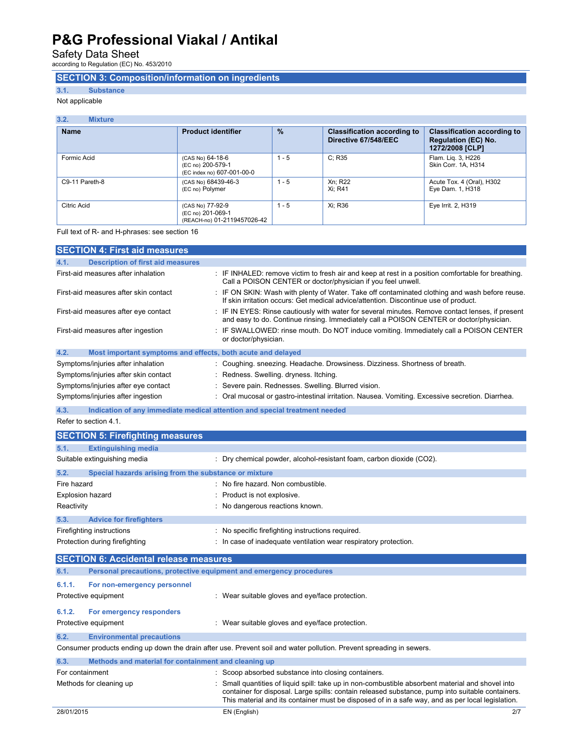Safety Data Sheet<br>according to Regulation (EC) No. 453/2010

## **SECTION 3: Composition/information on ingredients**

**3.1. Substance** 

Not applicable

### **3.2. Mixture**

| <b>Name</b>    | <b>Product identifier</b>                                            | $\frac{9}{6}$ | <b>Classification according to</b><br>Directive 67/548/EEC | <b>Classification according to</b><br><b>Regulation (EC) No.</b><br>1272/2008 [CLP] |
|----------------|----------------------------------------------------------------------|---------------|------------------------------------------------------------|-------------------------------------------------------------------------------------|
| Formic Acid    | (CAS No) 64-18-6<br>(EC no) 200-579-1<br>(EC index no) 607-001-00-0  | $1 - 5$       | C: R35                                                     | Flam. Lig. 3, H226<br>Skin Corr. 1A, H314                                           |
| C9-11 Pareth-8 | (CAS No) 68439-46-3<br>(EC no) Polymer                               | $1 - 5$       | Xn: R22<br>Xi: R41                                         | Acute Tox. 4 (Oral), H302<br>Eye Dam. 1, H318                                       |
| Citric Acid    | (CAS No) 77-92-9<br>(EC no) 201-069-1<br>(REACH-no) 01-2119457026-42 | $1 - 5$       | Xi: R36                                                    | Eye Irrit. 2, H319                                                                  |

Full text of R- and H-phrases: see section 16

| <b>SECTION 4: First aid measures</b>                                |                                                                                                                                                                                             |
|---------------------------------------------------------------------|---------------------------------------------------------------------------------------------------------------------------------------------------------------------------------------------|
| <b>Description of first aid measures</b><br>4.1.                    |                                                                                                                                                                                             |
| First-aid measures after inhalation                                 | : IF INHALED: remove victim to fresh air and keep at rest in a position comfortable for breathing.<br>Call a POISON CENTER or doctor/physician if you feel unwell.                          |
| First-aid measures after skin contact                               | : IF ON SKIN: Wash with plenty of Water. Take off contaminated clothing and wash before reuse.<br>If skin irritation occurs: Get medical advice/attention. Discontinue use of product.      |
| First-aid measures after eye contact                                | : IF IN EYES: Rinse cautiously with water for several minutes. Remove contact lenses, if present<br>and easy to do. Continue rinsing. Immediately call a POISON CENTER or doctor/physician. |
| First-aid measures after ingestion                                  | : IF SWALLOWED: rinse mouth. Do NOT induce vomiting. Immediately call a POISON CENTER<br>or doctor/physician.                                                                               |
| 4.2.<br>Most important symptoms and effects, both acute and delayed |                                                                                                                                                                                             |
| Symptoms/injuries after inhalation                                  | : Coughing. sneezing. Headache. Drowsiness. Dizziness. Shortness of breath.                                                                                                                 |
| Symptoms/injuries after skin contact                                | : Redness. Swelling. dryness. Itching.                                                                                                                                                      |
| Symptoms/injuries after eye contact                                 | : Severe pain. Rednesses. Swelling. Blurred vision.                                                                                                                                         |
| Symptoms/injuries after ingestion                                   | : Oral mucosal or gastro-intestinal irritation. Nausea. Vomiting. Excessive secretion. Diarrhea.                                                                                            |
| 4.3.                                                                | Indication of any immediate medical attention and special treatment needed                                                                                                                  |
| Refer to section 4.1.                                               |                                                                                                                                                                                             |
| <b>SECTION 5: Firefighting measures</b>                             |                                                                                                                                                                                             |
| 5.1.<br><b>Extinguishing media</b>                                  |                                                                                                                                                                                             |

| $\mathbf{v}$ . I. | <b>LAUTIQUISHING INCURR</b>                                 |                                                                                                                       |
|-------------------|-------------------------------------------------------------|-----------------------------------------------------------------------------------------------------------------------|
|                   | Suitable extinguishing media                                | : Dry chemical powder, alcohol-resistant foam, carbon dioxide (CO2).                                                  |
| 5.2.              | Special hazards arising from the substance or mixture       |                                                                                                                       |
| Fire hazard       |                                                             | : No fire hazard. Non combustible.                                                                                    |
|                   | <b>Explosion hazard</b>                                     | : Product is not explosive.                                                                                           |
| Reactivity        |                                                             | : No dangerous reactions known.                                                                                       |
| 5.3.              | <b>Advice for firefighters</b>                              |                                                                                                                       |
|                   | Firefighting instructions<br>Protection during firefighting | : No specific firefighting instructions required.<br>: In case of inadequate ventilation wear respiratory protection. |
|                   |                                                             |                                                                                                                       |

| <b>SECTION 6: Accidental release measures</b> |                                                                     |                                                                                                                      |
|-----------------------------------------------|---------------------------------------------------------------------|----------------------------------------------------------------------------------------------------------------------|
| 6.1.                                          | Personal precautions, protective equipment and emergency procedures |                                                                                                                      |
| 6.1.1.                                        | For non-emergency personnel                                         |                                                                                                                      |
|                                               | Protective equipment                                                | : Wear suitable gloves and eye/face protection.                                                                      |
| 6.1.2.                                        | For emergency responders                                            |                                                                                                                      |
|                                               | Protective equipment                                                | : Wear suitable gloves and eye/face protection.                                                                      |
| 6.2.                                          | <b>Environmental precautions</b>                                    |                                                                                                                      |
|                                               |                                                                     | Consumer products ending up down the drain after use. Prevent soil and water pollution. Prevent spreading in sewers. |
| 6.3.                                          | Methods and material for containment and cleaning up                |                                                                                                                      |
| For containment                               |                                                                     | : Scoop absorbed substance into closing containers.                                                                  |
|                                               | Methods for cleaning up                                             | Small quantities of liquid spill: take up in non-combustible absorbent material and shovel into                      |

container for disposal. Large spills: contain released substance, pump into suitable containers. This material and its container must be disposed of in a safe way, and as per local legislation.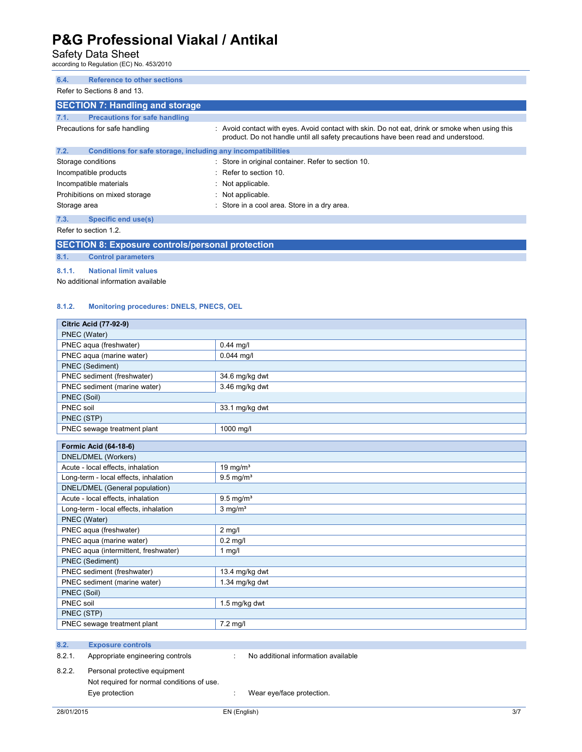# Safety Data Sheet<br>according to Regulation (EC) No. 453/2010

| <b>Reference to other sections</b><br>6.4.<br>Refer to Sections 8 and 13.                                                                                                                                                                                                                                                                                                                                                    |                                                                                                                                                                                      |  |
|------------------------------------------------------------------------------------------------------------------------------------------------------------------------------------------------------------------------------------------------------------------------------------------------------------------------------------------------------------------------------------------------------------------------------|--------------------------------------------------------------------------------------------------------------------------------------------------------------------------------------|--|
| <b>SECTION 7: Handling and storage</b>                                                                                                                                                                                                                                                                                                                                                                                       |                                                                                                                                                                                      |  |
| <b>Precautions for safe handling</b><br>7.1.                                                                                                                                                                                                                                                                                                                                                                                 |                                                                                                                                                                                      |  |
| Precautions for safe handling                                                                                                                                                                                                                                                                                                                                                                                                | : Avoid contact with eyes. Avoid contact with skin. Do not eat, drink or smoke when using this<br>product. Do not handle until all safety precautions have been read and understood. |  |
| 7.2.<br>Conditions for safe storage, including any incompatibilities                                                                                                                                                                                                                                                                                                                                                         |                                                                                                                                                                                      |  |
| Storage conditions                                                                                                                                                                                                                                                                                                                                                                                                           | : Store in original container. Refer to section 10.                                                                                                                                  |  |
| Incompatible products                                                                                                                                                                                                                                                                                                                                                                                                        | $\therefore$ Refer to section 10.                                                                                                                                                    |  |
| Incompatible materials                                                                                                                                                                                                                                                                                                                                                                                                       | : Not applicable.                                                                                                                                                                    |  |
| Prohibitions on mixed storage                                                                                                                                                                                                                                                                                                                                                                                                | : Not applicable.                                                                                                                                                                    |  |
| Storage area                                                                                                                                                                                                                                                                                                                                                                                                                 | : Store in a cool area. Store in a dry area.                                                                                                                                         |  |
| 7.3.<br>Specific end use(s)                                                                                                                                                                                                                                                                                                                                                                                                  |                                                                                                                                                                                      |  |
| Refer to section 1.2.                                                                                                                                                                                                                                                                                                                                                                                                        |                                                                                                                                                                                      |  |
| $\mathbf{A} = \mathbf{A} + \mathbf{B} + \mathbf{A} + \mathbf{B} + \mathbf{B} + \mathbf{B} + \mathbf{B} + \mathbf{B} + \mathbf{B} + \mathbf{B} + \mathbf{B} + \mathbf{B} + \mathbf{B} + \mathbf{B} + \mathbf{B} + \mathbf{B} + \mathbf{B} + \mathbf{B} + \mathbf{B} + \mathbf{B} + \mathbf{B} + \mathbf{B} + \mathbf{B} + \mathbf{B} + \mathbf{B} + \mathbf{B} + \mathbf{B} + \mathbf{B} + \mathbf{B} + \mathbf{B} + \mathbf$ |                                                                                                                                                                                      |  |

**SECTION 8: Exposure controls/personal protection** 

### **8.1. Control parameters 8.1.1. National limit values**

No additional information available

#### **8.1.2. Monitoring procedures: DNELS, PNECS, OEL**

| <b>Citric Acid (77-92-9)</b>               |                                     |  |
|--------------------------------------------|-------------------------------------|--|
| PNEC (Water)                               |                                     |  |
| PNEC aqua (freshwater)                     | $0.44$ mg/l                         |  |
| PNEC aqua (marine water)                   | $0.044$ mq/l                        |  |
| PNEC (Sediment)                            |                                     |  |
| PNEC sediment (freshwater)                 | 34.6 mg/kg dwt                      |  |
| PNEC sediment (marine water)               | 3.46 mg/kg dwt                      |  |
| PNEC (Soil)                                |                                     |  |
| PNEC soil                                  | 33.1 mg/kg dwt                      |  |
| PNEC (STP)                                 |                                     |  |
| PNEC sewage treatment plant                | 1000 mg/l                           |  |
|                                            |                                     |  |
| Formic Acid (64-18-6)                      |                                     |  |
| DNEL/DMEL (Workers)                        |                                     |  |
| Acute - local effects, inhalation          | 19 mg/m <sup>3</sup>                |  |
| Long-term - local effects, inhalation      | $9.5 \text{ mg/m}^3$                |  |
| DNEL/DMEL (General population)             |                                     |  |
| Acute - local effects, inhalation          | $9.5$ mg/m <sup>3</sup>             |  |
| Long-term - local effects, inhalation      | $3$ mg/m <sup>3</sup>               |  |
| PNEC (Water)                               |                                     |  |
| PNEC aqua (freshwater)                     | $2$ mg/l                            |  |
| PNEC aqua (marine water)                   | $0.2$ mg/l                          |  |
| PNEC aqua (intermittent, freshwater)       | $1$ mg/l                            |  |
| PNEC (Sediment)                            |                                     |  |
| PNEC sediment (freshwater)                 | 13.4 mg/kg dwt                      |  |
| PNEC sediment (marine water)               | 1.34 mg/kg dwt                      |  |
| PNEC (Soil)                                |                                     |  |
| PNEC soil                                  | 1.5 mg/kg dwt                       |  |
| PNEC (STP)                                 |                                     |  |
| PNEC sewage treatment plant                | $7.2$ mg/l                          |  |
|                                            |                                     |  |
| 8.2.<br><b>Exposure controls</b>           |                                     |  |
| 8.2.1.<br>Appropriate engineering controls | No additional information available |  |
| 8.2.2.<br>Personal protective equipment    |                                     |  |

Not required for normal conditions of use.

Eye protection  $\qquad \qquad : \qquad \text{Wear eye/face protection}.$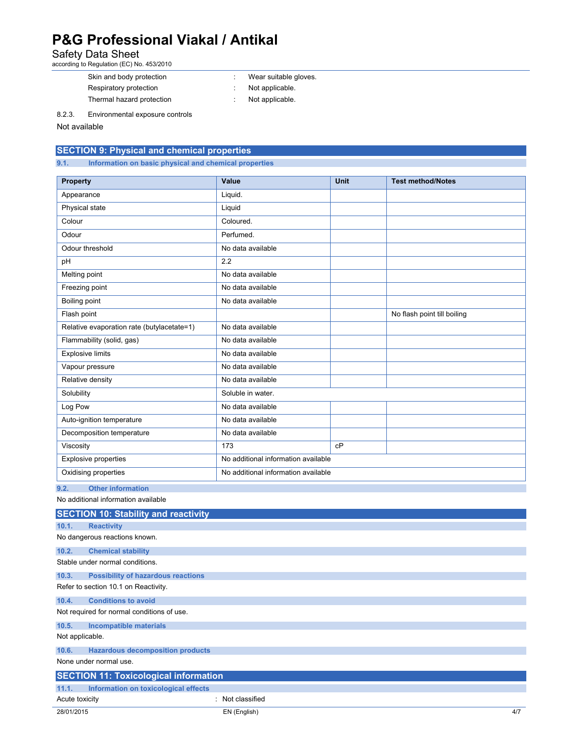## Safety Data Sheet<br>according to Regulation (EC) No. 453/2010

- Skin and body protection **in the set of the Skin and body protection in the set of the Wear suitable gloves.** Respiratory protection  $\cdot$  Not applicable.
	-
- Thermal hazard protection **in the state of the state of the ST** hermal hazard protection

8.2.3. Environmental exposure controls

Not available

## **SECTION 9: Physical and chemical properties**

**9.1. Information on basic physical and chemical properties** 

| <b>Property</b>                            | Value                               | <b>Unit</b> | <b>Test method/Notes</b>    |
|--------------------------------------------|-------------------------------------|-------------|-----------------------------|
| Appearance                                 | Liquid.                             |             |                             |
| Physical state                             | Liquid                              |             |                             |
| Colour                                     | Coloured.                           |             |                             |
| Odour                                      | Perfumed.                           |             |                             |
| Odour threshold                            | No data available                   |             |                             |
| pH                                         | 2.2                                 |             |                             |
| Melting point                              | No data available                   |             |                             |
| Freezing point                             | No data available                   |             |                             |
| Boiling point                              | No data available                   |             |                             |
| Flash point                                |                                     |             | No flash point till boiling |
| Relative evaporation rate (butylacetate=1) | No data available                   |             |                             |
| Flammability (solid, gas)                  | No data available                   |             |                             |
| <b>Explosive limits</b>                    | No data available                   |             |                             |
| Vapour pressure                            | No data available                   |             |                             |
| Relative density                           | No data available                   |             |                             |
| Solubility                                 | Soluble in water.                   |             |                             |
| Log Pow                                    | No data available                   |             |                             |
| Auto-ignition temperature                  | No data available                   |             |                             |
| Decomposition temperature                  | No data available                   |             |                             |
| Viscosity                                  | 173                                 | cP          |                             |
| <b>Explosive properties</b>                | No additional information available |             |                             |
| Oxidising properties                       | No additional information available |             |                             |

**9.2. Other information**  No additional information available

|                 | <b>SECTION 10: Stability and reactivity</b>  |                |     |
|-----------------|----------------------------------------------|----------------|-----|
| 10.1.           | <b>Reactivity</b>                            |                |     |
|                 | No dangerous reactions known.                |                |     |
| 10.2.           | <b>Chemical stability</b>                    |                |     |
|                 | Stable under normal conditions.              |                |     |
| 10.3.           | <b>Possibility of hazardous reactions</b>    |                |     |
|                 | Refer to section 10.1 on Reactivity.         |                |     |
| 10.4.           | <b>Conditions to avoid</b>                   |                |     |
|                 | Not required for normal conditions of use.   |                |     |
| 10.5.           | <b>Incompatible materials</b>                |                |     |
| Not applicable. |                                              |                |     |
| 10.6.           | <b>Hazardous decomposition products</b>      |                |     |
|                 | None under normal use.                       |                |     |
|                 | <b>SECTION 11: Toxicological information</b> |                |     |
| 11.1.           | Information on toxicological effects         |                |     |
| Acute toxicity  |                                              | Not classified |     |
| 28/01/2015      |                                              | EN (English)   | 4/7 |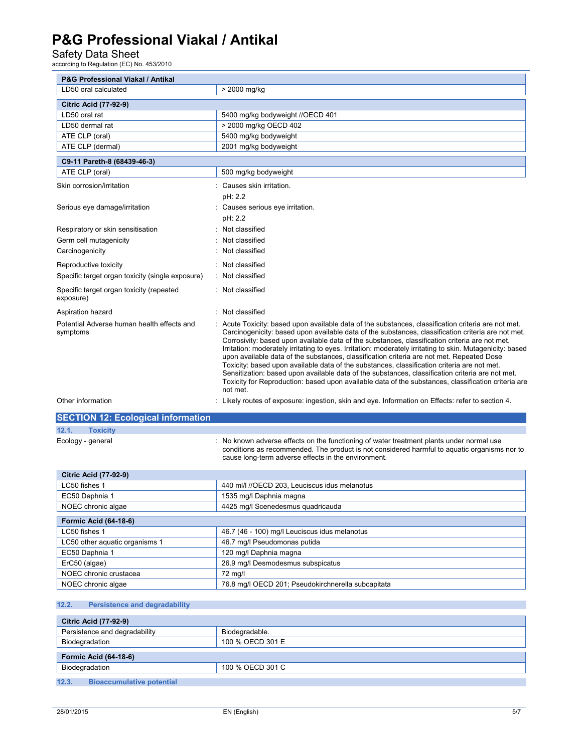## Safety Data Sheet<br>according to Regulation (EC) No. 453/2010

| P&G Professional Viakal / Antikal                      |                                                                                                                                                                                                                                                                                                                                                                                                                                                                                                                                                                                                                                                                                                                                                                                                                                           |
|--------------------------------------------------------|-------------------------------------------------------------------------------------------------------------------------------------------------------------------------------------------------------------------------------------------------------------------------------------------------------------------------------------------------------------------------------------------------------------------------------------------------------------------------------------------------------------------------------------------------------------------------------------------------------------------------------------------------------------------------------------------------------------------------------------------------------------------------------------------------------------------------------------------|
| LD50 oral calculated                                   | > 2000 mg/kg                                                                                                                                                                                                                                                                                                                                                                                                                                                                                                                                                                                                                                                                                                                                                                                                                              |
| <b>Citric Acid (77-92-9)</b>                           |                                                                                                                                                                                                                                                                                                                                                                                                                                                                                                                                                                                                                                                                                                                                                                                                                                           |
| LD50 oral rat                                          | 5400 mg/kg bodyweight //OECD 401                                                                                                                                                                                                                                                                                                                                                                                                                                                                                                                                                                                                                                                                                                                                                                                                          |
| LD50 dermal rat                                        | > 2000 mg/kg OECD 402                                                                                                                                                                                                                                                                                                                                                                                                                                                                                                                                                                                                                                                                                                                                                                                                                     |
| ATE CLP (oral)                                         | 5400 mg/kg bodyweight                                                                                                                                                                                                                                                                                                                                                                                                                                                                                                                                                                                                                                                                                                                                                                                                                     |
| ATE CLP (dermal)                                       | 2001 mg/kg bodyweight                                                                                                                                                                                                                                                                                                                                                                                                                                                                                                                                                                                                                                                                                                                                                                                                                     |
| C9-11 Pareth-8 (68439-46-3)                            |                                                                                                                                                                                                                                                                                                                                                                                                                                                                                                                                                                                                                                                                                                                                                                                                                                           |
| ATE CLP (oral)                                         | 500 mg/kg bodyweight                                                                                                                                                                                                                                                                                                                                                                                                                                                                                                                                                                                                                                                                                                                                                                                                                      |
| Skin corrosion/irritation                              | Causes skin irritation.                                                                                                                                                                                                                                                                                                                                                                                                                                                                                                                                                                                                                                                                                                                                                                                                                   |
|                                                        | pH: 2.2                                                                                                                                                                                                                                                                                                                                                                                                                                                                                                                                                                                                                                                                                                                                                                                                                                   |
| Serious eye damage/irritation                          | Causes serious eye irritation.                                                                                                                                                                                                                                                                                                                                                                                                                                                                                                                                                                                                                                                                                                                                                                                                            |
|                                                        | pH: 2.2                                                                                                                                                                                                                                                                                                                                                                                                                                                                                                                                                                                                                                                                                                                                                                                                                                   |
| Respiratory or skin sensitisation                      | Not classified                                                                                                                                                                                                                                                                                                                                                                                                                                                                                                                                                                                                                                                                                                                                                                                                                            |
| Germ cell mutagenicity                                 | Not classified                                                                                                                                                                                                                                                                                                                                                                                                                                                                                                                                                                                                                                                                                                                                                                                                                            |
| Carcinogenicity                                        | Not classified                                                                                                                                                                                                                                                                                                                                                                                                                                                                                                                                                                                                                                                                                                                                                                                                                            |
|                                                        |                                                                                                                                                                                                                                                                                                                                                                                                                                                                                                                                                                                                                                                                                                                                                                                                                                           |
| Reproductive toxicity                                  | Not classified                                                                                                                                                                                                                                                                                                                                                                                                                                                                                                                                                                                                                                                                                                                                                                                                                            |
| Specific target organ toxicity (single exposure)       | Not classified                                                                                                                                                                                                                                                                                                                                                                                                                                                                                                                                                                                                                                                                                                                                                                                                                            |
| Specific target organ toxicity (repeated<br>exposure)  | : Not classified                                                                                                                                                                                                                                                                                                                                                                                                                                                                                                                                                                                                                                                                                                                                                                                                                          |
| Aspiration hazard                                      | : Not classified                                                                                                                                                                                                                                                                                                                                                                                                                                                                                                                                                                                                                                                                                                                                                                                                                          |
| Potential Adverse human health effects and<br>symptoms | Acute Toxicity: based upon available data of the substances, classification criteria are not met.<br>Carcinogenicity: based upon available data of the substances, classification criteria are not met.<br>Corrosivity: based upon available data of the substances, classification criteria are not met.<br>Irritation: moderately irritating to eyes. Irritation: moderately irritating to skin. Mutagenicity: based<br>upon available data of the substances, classification criteria are not met. Repeated Dose<br>Toxicity: based upon available data of the substances, classification criteria are not met.<br>Sensitization: based upon available data of the substances, classification criteria are not met.<br>Toxicity for Reproduction: based upon available data of the substances, classification criteria are<br>not met. |
| Other information                                      | : Likely routes of exposure: ingestion, skin and eye. Information on Effects: refer to section 4.                                                                                                                                                                                                                                                                                                                                                                                                                                                                                                                                                                                                                                                                                                                                         |
| <b>SECTION 12: Ecological information</b>              |                                                                                                                                                                                                                                                                                                                                                                                                                                                                                                                                                                                                                                                                                                                                                                                                                                           |
| 12.1.<br><b>Toxicity</b>                               |                                                                                                                                                                                                                                                                                                                                                                                                                                                                                                                                                                                                                                                                                                                                                                                                                                           |
| Ecology - general                                      | No known adverse effects on the functioning of water treatment plants under normal use<br>conditions as recommended. The product is not considered harmful to aquatic organisms nor to<br>cause long-term adverse effects in the environment.                                                                                                                                                                                                                                                                                                                                                                                                                                                                                                                                                                                             |
| <b>Citric Acid (77-92-9)</b>                           |                                                                                                                                                                                                                                                                                                                                                                                                                                                                                                                                                                                                                                                                                                                                                                                                                                           |
| LC50 fishes 1                                          | 440 ml/l //OECD 203, Leuciscus idus melanotus                                                                                                                                                                                                                                                                                                                                                                                                                                                                                                                                                                                                                                                                                                                                                                                             |
| EC50 Daphnia 1                                         | 1535 mg/l Daphnia magna                                                                                                                                                                                                                                                                                                                                                                                                                                                                                                                                                                                                                                                                                                                                                                                                                   |
| NOEC chronic algae                                     | 4425 mg/l Scenedesmus quadricauda                                                                                                                                                                                                                                                                                                                                                                                                                                                                                                                                                                                                                                                                                                                                                                                                         |
| <b>Formic Acid (64-18-6)</b>                           |                                                                                                                                                                                                                                                                                                                                                                                                                                                                                                                                                                                                                                                                                                                                                                                                                                           |
| LC50 fishes 1                                          | 46.7 (46 - 100) mg/l Leuciscus idus melanotus                                                                                                                                                                                                                                                                                                                                                                                                                                                                                                                                                                                                                                                                                                                                                                                             |
| LC50 other aquatic organisms 1                         | 46.7 mg/l Pseudomonas putida                                                                                                                                                                                                                                                                                                                                                                                                                                                                                                                                                                                                                                                                                                                                                                                                              |
| EC50 Daphnia 1                                         | 120 mg/l Daphnia magna                                                                                                                                                                                                                                                                                                                                                                                                                                                                                                                                                                                                                                                                                                                                                                                                                    |
| ErC50 (algae)                                          | 26.9 mg/l Desmodesmus subspicatus                                                                                                                                                                                                                                                                                                                                                                                                                                                                                                                                                                                                                                                                                                                                                                                                         |
| NOEC chronic crustacea                                 | 72 mg/l                                                                                                                                                                                                                                                                                                                                                                                                                                                                                                                                                                                                                                                                                                                                                                                                                                   |

#### **12.2. Persistence and degradability**

| <b>Citric Acid (77-92-9)</b>              |                  |  |
|-------------------------------------------|------------------|--|
| Persistence and degradability             | Biodegradable.   |  |
| Biodegradation                            | 100 % OECD 301 E |  |
| <b>Formic Acid (64-18-6)</b>              |                  |  |
|                                           |                  |  |
| Biodegradation                            | 100 % OECD 301 C |  |
|                                           |                  |  |
| 12.3.<br><b>Bioaccumulative potential</b> |                  |  |

NOEC chronic algae 76.8 mg/l OECD 201; Pseudokirchnerella subcapitata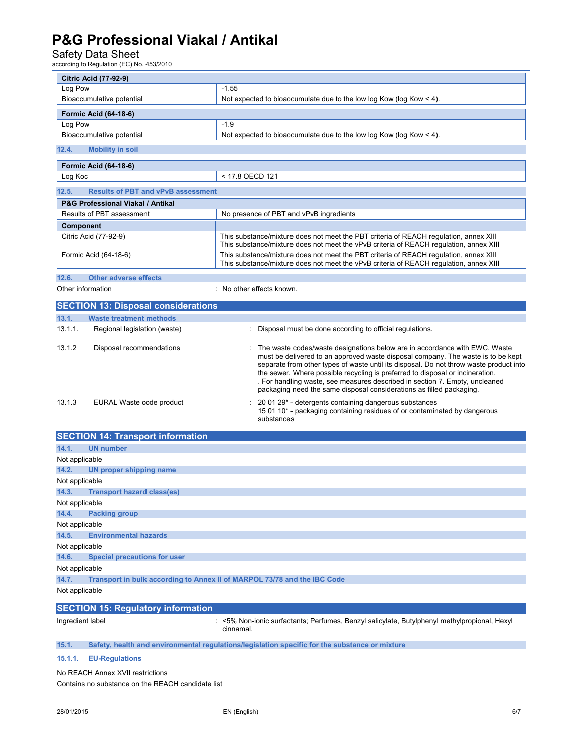# Safety Data Sheet<br>according to Regulation (EC) No. 453/2010

| <b>Citric Acid (77-92-9)</b>                       |                                                                                                                                                                                                                                                                                                                                                                                                                                                                                                    |
|----------------------------------------------------|----------------------------------------------------------------------------------------------------------------------------------------------------------------------------------------------------------------------------------------------------------------------------------------------------------------------------------------------------------------------------------------------------------------------------------------------------------------------------------------------------|
| Log Pow                                            | $-1.55$                                                                                                                                                                                                                                                                                                                                                                                                                                                                                            |
| Bioaccumulative potential                          | Not expected to bioaccumulate due to the low log Kow (log Kow $<$ 4).                                                                                                                                                                                                                                                                                                                                                                                                                              |
| Formic Acid (64-18-6)                              |                                                                                                                                                                                                                                                                                                                                                                                                                                                                                                    |
| Log Pow                                            | $-1.9$                                                                                                                                                                                                                                                                                                                                                                                                                                                                                             |
| Bioaccumulative potential                          | Not expected to bioaccumulate due to the low log Kow (log Kow $<$ 4).                                                                                                                                                                                                                                                                                                                                                                                                                              |
| 12.4.<br><b>Mobility in soil</b>                   |                                                                                                                                                                                                                                                                                                                                                                                                                                                                                                    |
| <b>Formic Acid (64-18-6)</b>                       |                                                                                                                                                                                                                                                                                                                                                                                                                                                                                                    |
| Log Koc                                            | < 17.8 OECD 121                                                                                                                                                                                                                                                                                                                                                                                                                                                                                    |
| 12.5.<br><b>Results of PBT and vPvB assessment</b> |                                                                                                                                                                                                                                                                                                                                                                                                                                                                                                    |
| <b>P&amp;G Professional Viakal / Antikal</b>       |                                                                                                                                                                                                                                                                                                                                                                                                                                                                                                    |
| Results of PBT assessment                          | No presence of PBT and vPvB ingredients                                                                                                                                                                                                                                                                                                                                                                                                                                                            |
| Component                                          |                                                                                                                                                                                                                                                                                                                                                                                                                                                                                                    |
| Citric Acid (77-92-9)                              | This substance/mixture does not meet the PBT criteria of REACH regulation, annex XIII<br>This substance/mixture does not meet the vPvB criteria of REACH regulation, annex XIII                                                                                                                                                                                                                                                                                                                    |
| Formic Acid (64-18-6)                              | This substance/mixture does not meet the PBT criteria of REACH regulation, annex XIII<br>This substance/mixture does not meet the vPvB criteria of REACH regulation, annex XIII                                                                                                                                                                                                                                                                                                                    |
| 12.6.<br><b>Other adverse effects</b>              |                                                                                                                                                                                                                                                                                                                                                                                                                                                                                                    |
| Other information<br>: No other effects known.     |                                                                                                                                                                                                                                                                                                                                                                                                                                                                                                    |
| <b>SECTION 13: Disposal considerations</b>         |                                                                                                                                                                                                                                                                                                                                                                                                                                                                                                    |
| 13.1.<br><b>Waste treatment methods</b>            |                                                                                                                                                                                                                                                                                                                                                                                                                                                                                                    |
| 13.1.1.<br>Regional legislation (waste)            | Disposal must be done according to official regulations.                                                                                                                                                                                                                                                                                                                                                                                                                                           |
| 13.1.2<br>Disposal recommendations                 | : The waste codes/waste designations below are in accordance with EWC. Waste<br>must be delivered to an approved waste disposal company. The waste is to be kept<br>separate from other types of waste until its disposal. Do not throw waste product into<br>the sewer. Where possible recycling is preferred to disposal or incineration.<br>. For handling waste, see measures described in section 7. Empty, uncleaned<br>packaging need the same disposal considerations as filled packaging. |
| 13.1.3<br>EURAL Waste code product                 | 20 01 29* - detergents containing dangerous substances<br>15 01 10* - packaging containing residues of or contaminated by dangerous<br>substances                                                                                                                                                                                                                                                                                                                                                  |
| <b>SECTION 14: Transport information</b>           |                                                                                                                                                                                                                                                                                                                                                                                                                                                                                                    |
| 14.1.<br><b>UN number</b>                          |                                                                                                                                                                                                                                                                                                                                                                                                                                                                                                    |

| 14.1.          | <b>Example 19</b> ON number                                              |  |  |
|----------------|--------------------------------------------------------------------------|--|--|
| Not applicable |                                                                          |  |  |
| 14.2.          | UN proper shipping name                                                  |  |  |
| Not applicable |                                                                          |  |  |
| 14.3.          | <b>Transport hazard class(es)</b>                                        |  |  |
| Not applicable |                                                                          |  |  |
| 14.4.          | <b>Packing group</b>                                                     |  |  |
| Not applicable |                                                                          |  |  |
| 14.5.          | <b>Environmental hazards</b>                                             |  |  |
| Not applicable |                                                                          |  |  |
| 14.6.          | <b>Special precautions for user</b>                                      |  |  |
| Not applicable |                                                                          |  |  |
| 14.7.          | Transport in bulk according to Annex II of MARPOL 73/78 and the IBC Code |  |  |
| Not applicable |                                                                          |  |  |

| <b>SECTION 15: Regulatory information</b> |                                                                                                               |
|-------------------------------------------|---------------------------------------------------------------------------------------------------------------|
| Ingredient label                          | Setter S% Non-ionic surfactants; Perfumes, Benzyl salicylate, Butylphenyl methylpropional, Hexyl<br>cinnamal. |

**15.1. Safety, health and environmental regulations/legislation specific for the substance or mixture** 

### **15.1.1. EU-Regulations**

No REACH Annex XVII restrictions Contains no substance on the REACH candidate list